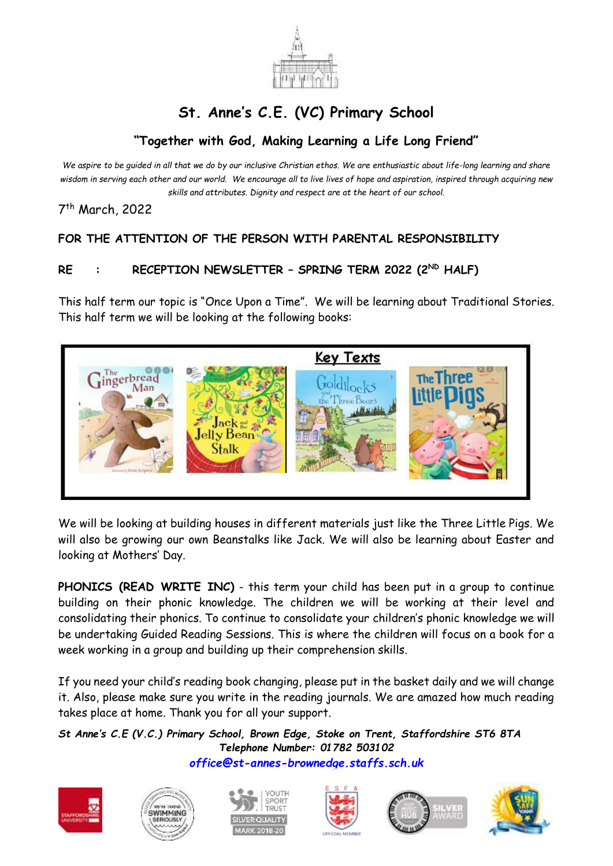

## **St. Anne's C.E. (VC) Primary School**

## **"Together with God, Making Learning a Life Long Friend"**

*We aspire to be guided in all that we do by our inclusive Christian ethos. We are enthusiastic about life-long learning and share wisdom in serving each other and our world. We encourage all to live lives of hope and aspiration, inspired through acquiring new skills and attributes. Dignity and respect are at the heart of our school.*

7 th March, 2022

## **FOR THE ATTENTION OF THE PERSON WITH PARENTAL RESPONSIBILITY**

## **RE : RECEPTION NEWSLETTER – SPRING TERM 2022 (2ND HALF)**

This half term our topic is "Once Upon a Time". We will be learning about Traditional Stories. This half term we will be looking at the following books:



We will be looking at building houses in different materials just like the Three Little Pigs. We will also be growing our own Beanstalks like Jack. We will also be learning about Easter and looking at Mothers' Day.

**PHONICS (READ WRITE INC)** - this term your child has been put in a group to continue building on their phonic knowledge. The children we will be working at their level and consolidating their phonics. To continue to consolidate your children's phonic knowledge we will be undertaking Guided Reading Sessions. This is where the children will focus on a book for a week working in a group and building up their comprehension skills.

If you need your child's reading book changing, please put in the basket daily and we will change it. Also, please make sure you write in the reading journals. We are amazed how much reading takes place at home. Thank you for all your support.

*St Anne's C.E (V.C.) Primary School, Brown Edge, Stoke on Trent, Staffordshire ST6 8TA Telephone Number: 01782 503102 [office@st-annes-brownedge.staffs.sch.uk](mailto:office@st-annes-brownedge.staffs.sch.uk)*